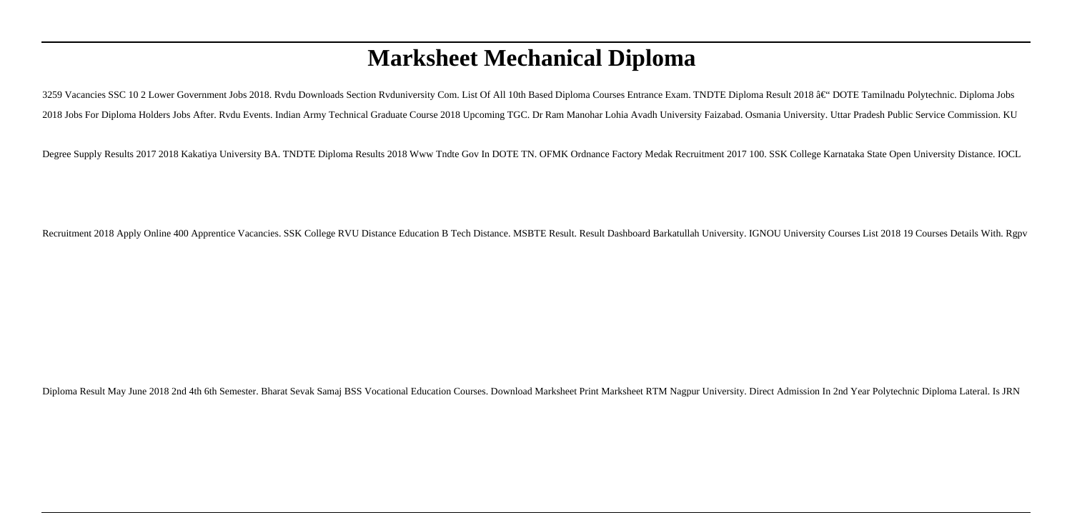# **Marksheet Mechanical Diploma**

3259 Vacancies SSC 10 2 Lower Government Jobs 2018. Rvdu Downloads Section Rvduniversity Com. List Of All 10th Based Diploma Courses Entrance Exam. TNDTE Diploma Result 2018 †"DOTE Tamilnadu Polytechnic. Diploma Jobs 2018 Jobs For Diploma Holders Jobs After. Rvdu Events. Indian Army Technical Graduate Course 2018 Upcoming TGC. Dr Ram Manohar Lohia Avadh University Faizabad. Osmania University. Uttar Pradesh Public Service Commission. KU

Degree Supply Results 2017 2018 Kakatiya University BA. TNDTE Diploma Results 2018 Www Tndte Gov In DOTE TN. OFMK Ordnance Factory Medak Recruitment 2017 100. SSK College Karnataka State Open University Distance. IOCL

Recruitment 2018 Apply Online 400 Apprentice Vacancies. SSK College RVU Distance Education B Tech Distance. MSBTE Result. Result Dashboard Barkatullah University. IGNOU University Courses List 2018 19 Courses Details With.

Diploma Result May June 2018 2nd 4th 6th Semester. Bharat Sevak Samaj BSS Vocational Education Courses. Download Marksheet Print Marksheet RTM Nagpur University. Direct Admission In 2nd Year Polytechnic Diploma Lateral. Is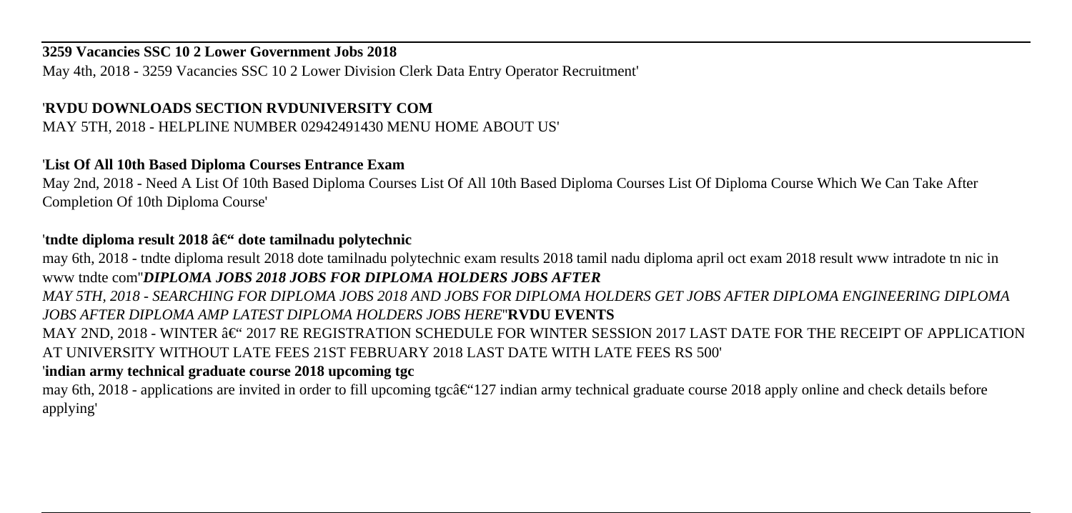#### **3259 Vacancies SSC 10 2 Lower Government Jobs 2018**

May 4th, 2018 - 3259 Vacancies SSC 10 2 Lower Division Clerk Data Entry Operator Recruitment'

## '**RVDU DOWNLOADS SECTION RVDUNIVERSITY COM**

MAY 5TH, 2018 - HELPLINE NUMBER 02942491430 MENU HOME ABOUT US'

## '**List Of All 10th Based Diploma Courses Entrance Exam**

May 2nd, 2018 - Need A List Of 10th Based Diploma Courses List Of All 10th Based Diploma Courses List Of Diploma Course Which We Can Take After Completion Of 10th Diploma Course'

## 'tndte diploma result 2018 â€" dote tamilnadu polytechnic

may 6th, 2018 - tndte diploma result 2018 dote tamilnadu polytechnic exam results 2018 tamil nadu diploma april oct exam 2018 result www intradote tn nic in www tndte com''*DIPLOMA JOBS 2018 JOBS FOR DIPLOMA HOLDERS JOBS AFTER MAY 5TH, 2018 - SEARCHING FOR DIPLOMA JOBS 2018 AND JOBS FOR DIPLOMA HOLDERS GET JOBS AFTER DIPLOMA ENGINEERING DIPLOMA JOBS AFTER DIPLOMA AMP LATEST DIPLOMA HOLDERS JOBS HERE*''**RVDU EVENTS** MAY 2ND, 2018 - WINTER  $\hat{\mathbf{a}} \in \text{``2017 RE REGISTRATION SCHEDULE FOR WINTER SESSION 2017 LAST DATE FOR THE RECEPT OF APPLICATION$ AT UNIVERSITY WITHOUT LATE FEES 21ST FEBRUARY 2018 LAST DATE WITH LATE FEES RS 500'

## '**indian army technical graduate course 2018 upcoming tgc**

may 6th, 2018 - applications are invited in order to fill upcoming tgc $\hat{\epsilon}$ "127 indian army technical graduate course 2018 apply online and check details before applying'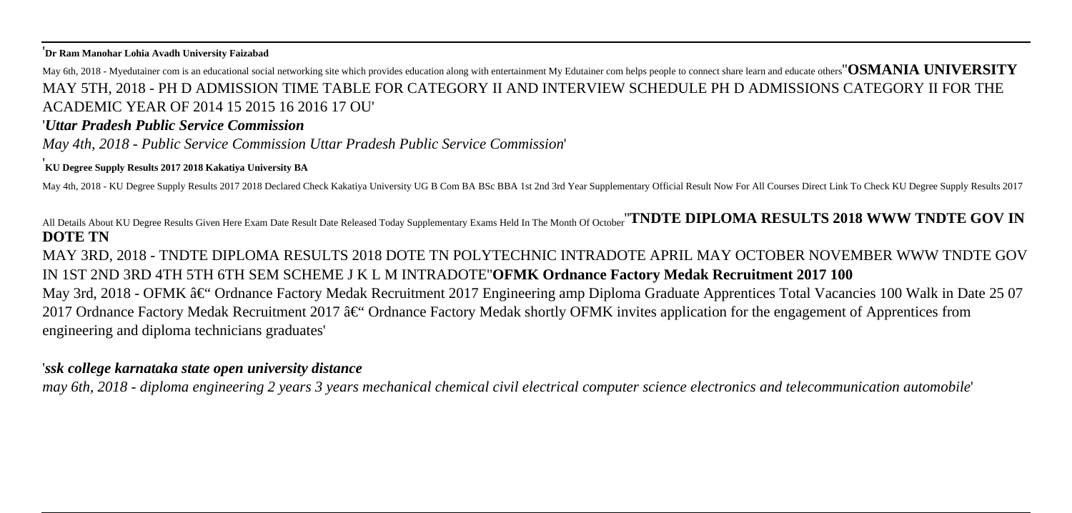'**Dr Ram Manohar Lohia Avadh University Faizabad**

May 6th, 2018 - Myedutainer com is an educational social networking site which provides education along with entertainment My Edutainer com helps people to connect share learn and educate others<sup>"</sup>OSMANIA UNIVERSITY MAY 5TH, 2018 - PH D ADMISSION TIME TABLE FOR CATEGORY II AND INTERVIEW SCHEDULE PH D ADMISSIONS CATEGORY II FOR THE ACADEMIC YEAR OF 2014 15 2015 16 2016 17 OU'

#### '*Uttar Pradesh Public Service Commission*

*May 4th, 2018 - Public Service Commission Uttar Pradesh Public Service Commission*'

## '**KU Degree Supply Results 2017 2018 Kakatiya University BA**

May 4th, 2018 - KU Degree Supply Results 2017 2018 Declared Check Kakatiya University UG B Com BA BSc BBA 1st 2nd 3rd Year Supplementary Official Result Now For All Courses Direct Link To Check KU Degree Supply Results 201

All Details About KU Degree Results Given Here Exam Date Result Date Released Today Supplementary Exams Held In The Month Of October<sup>"</sup>TNDTE DIPLOMA RESULTS 2018 WWW TNDTE GOV IN **DOTE TN**

MAY 3RD, 2018 - TNDTE DIPLOMA RESULTS 2018 DOTE TN POLYTECHNIC INTRADOTE APRIL MAY OCTOBER NOVEMBER WWW TNDTE GOV IN 1ST 2ND 3RD 4TH 5TH 6TH SEM SCHEME J K L M INTRADOTE''**OFMK Ordnance Factory Medak Recruitment 2017 100** May 3rd, 2018 - OFMK  $\hat{a} \in \hat{C}$  Ordnance Factory Medak Recruitment 2017 Engineering amp Diploma Graduate Apprentices Total Vacancies 100 Walk in Date 25 07 2017 Ordnance Factory Medak Recruitment 2017  $\hat{a} \in C^*$  Ordnance Factory Medak shortly OFMK invites application for the engagement of Apprentices from engineering and diploma technicians graduates'

#### '*ssk college karnataka state open university distance*

*may 6th, 2018 - diploma engineering 2 years 3 years mechanical chemical civil electrical computer science electronics and telecommunication automobile*'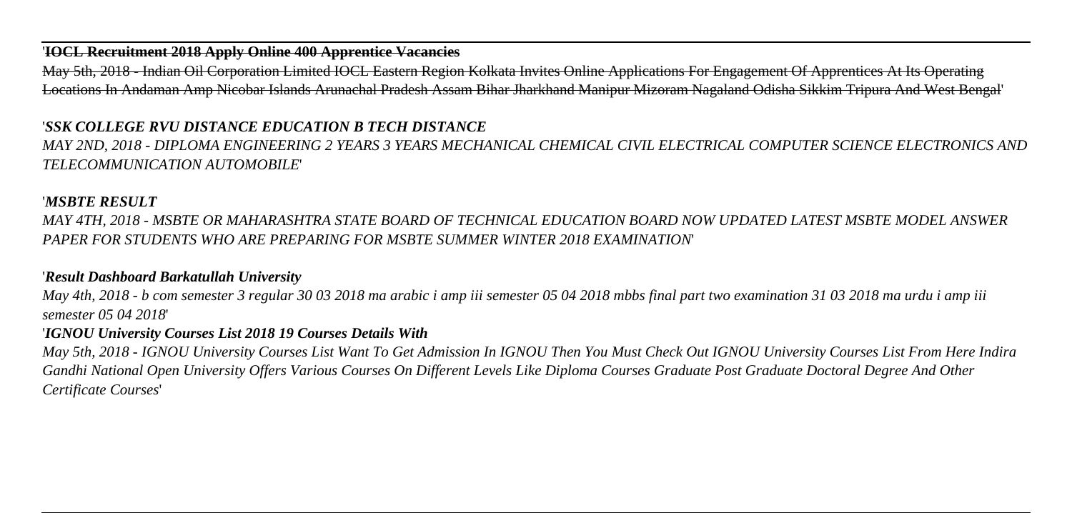#### '**IOCL Recruitment 2018 Apply Online 400 Apprentice Vacancies**

May 5th, 2018 - Indian Oil Corporation Limited IOCL Eastern Region Kolkata Invites Online Applications For Engagement Of Apprentices At Its Operating Locations In Andaman Amp Nicobar Islands Arunachal Pradesh Assam Bihar Jharkhand Manipur Mizoram Nagaland Odisha Sikkim Tripura And West Bengal'

## '*SSK COLLEGE RVU DISTANCE EDUCATION B TECH DISTANCE*

*MAY 2ND, 2018 - DIPLOMA ENGINEERING 2 YEARS 3 YEARS MECHANICAL CHEMICAL CIVIL ELECTRICAL COMPUTER SCIENCE ELECTRONICS AND TELECOMMUNICATION AUTOMOBILE*'

#### '*MSBTE RESULT*

*MAY 4TH, 2018 - MSBTE OR MAHARASHTRA STATE BOARD OF TECHNICAL EDUCATION BOARD NOW UPDATED LATEST MSBTE MODEL ANSWER PAPER FOR STUDENTS WHO ARE PREPARING FOR MSBTE SUMMER WINTER 2018 EXAMINATION*'

## '*Result Dashboard Barkatullah University*

*May 4th, 2018 - b com semester 3 regular 30 03 2018 ma arabic i amp iii semester 05 04 2018 mbbs final part two examination 31 03 2018 ma urdu i amp iii semester 05 04 2018*'

## '*IGNOU University Courses List 2018 19 Courses Details With*

*May 5th, 2018 - IGNOU University Courses List Want To Get Admission In IGNOU Then You Must Check Out IGNOU University Courses List From Here Indira Gandhi National Open University Offers Various Courses On Different Levels Like Diploma Courses Graduate Post Graduate Doctoral Degree And Other Certificate Courses*'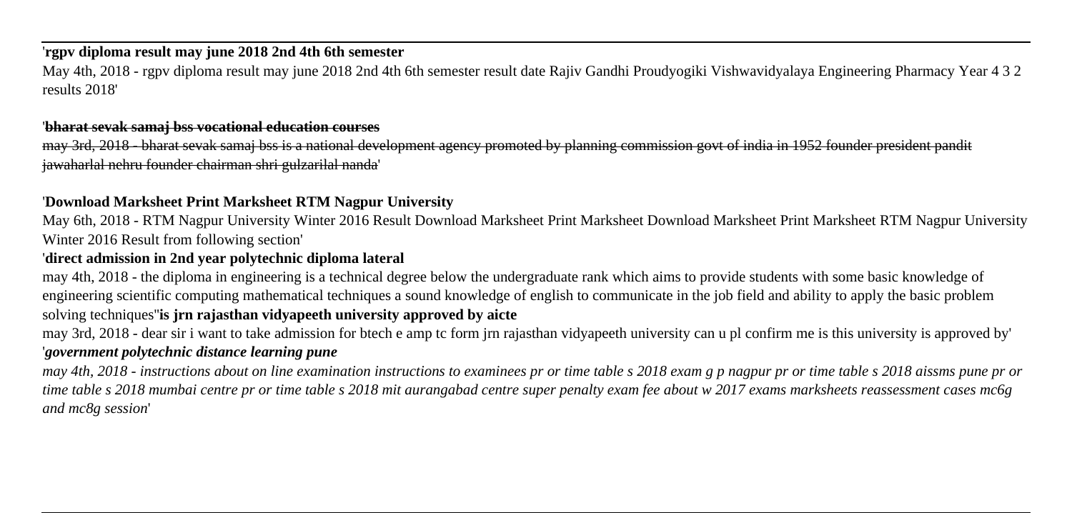#### '**rgpv diploma result may june 2018 2nd 4th 6th semester**

May 4th, 2018 - rgpv diploma result may june 2018 2nd 4th 6th semester result date Rajiv Gandhi Proudyogiki Vishwavidyalaya Engineering Pharmacy Year 4 3 2 results 2018'

#### '**bharat sevak samaj bss vocational education courses**

may 3rd, 2018 - bharat sevak samaj bss is a national development agency promoted by planning commission govt of india in 1952 founder president pandit jawaharlal nehru founder chairman shri gulzarilal nanda'

## '**Download Marksheet Print Marksheet RTM Nagpur University**

May 6th, 2018 - RTM Nagpur University Winter 2016 Result Download Marksheet Print Marksheet Download Marksheet Print Marksheet RTM Nagpur University Winter 2016 Result from following section'

## '**direct admission in 2nd year polytechnic diploma lateral**

may 4th, 2018 - the diploma in engineering is a technical degree below the undergraduate rank which aims to provide students with some basic knowledge of engineering scientific computing mathematical techniques a sound knowledge of english to communicate in the job field and ability to apply the basic problem solving techniques''**is jrn rajasthan vidyapeeth university approved by aicte**

may 3rd, 2018 - dear sir i want to take admission for btech e amp tc form jrn rajasthan vidyapeeth university can u pl confirm me is this university is approved by' '*government polytechnic distance learning pune*

*may 4th, 2018 - instructions about on line examination instructions to examinees pr or time table s 2018 exam g p nagpur pr or time table s 2018 aissms pune pr or time table s 2018 mumbai centre pr or time table s 2018 mit aurangabad centre super penalty exam fee about w 2017 exams marksheets reassessment cases mc6g and mc8g session*'